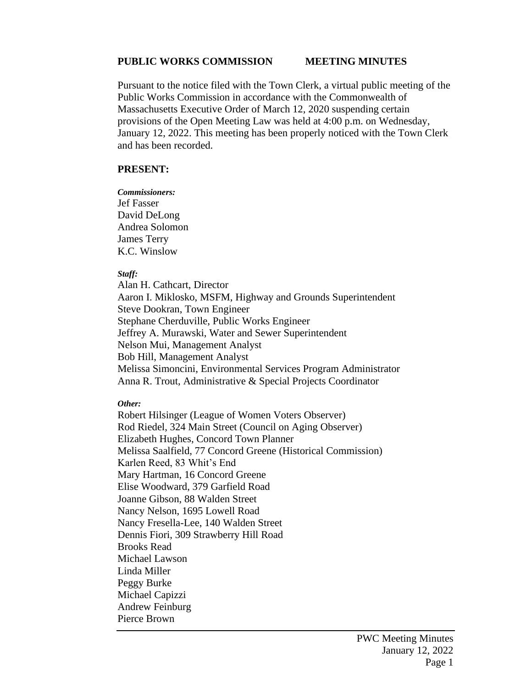#### **PUBLIC WORKS COMMISSION MEETING MINUTES**

Pursuant to the notice filed with the Town Clerk, a virtual public meeting of the Public Works Commission in accordance with the Commonwealth of Massachusetts Executive Order of March 12, 2020 suspending certain provisions of the Open Meeting Law was held at 4:00 p.m. on Wednesday, January 12, 2022. This meeting has been properly noticed with the Town Clerk and has been recorded.

#### **PRESENT:**

*Commissioners:* Jef Fasser David DeLong Andrea Solomon James Terry K.C. Winslow

#### *Staff:*

Alan H. Cathcart, Director Aaron I. Miklosko, MSFM, Highway and Grounds Superintendent Steve Dookran, Town Engineer Stephane Cherduville, Public Works Engineer Jeffrey A. Murawski, Water and Sewer Superintendent Nelson Mui, Management Analyst Bob Hill, Management Analyst Melissa Simoncini, Environmental Services Program Administrator Anna R. Trout, Administrative & Special Projects Coordinator

#### *Other:*

Robert Hilsinger (League of Women Voters Observer) Rod Riedel, 324 Main Street (Council on Aging Observer) Elizabeth Hughes, Concord Town Planner Melissa Saalfield, 77 Concord Greene (Historical Commission) Karlen Reed, 83 Whit's End Mary Hartman, 16 Concord Greene Elise Woodward, 379 Garfield Road Joanne Gibson, 88 Walden Street Nancy Nelson, 1695 Lowell Road Nancy Fresella-Lee, 140 Walden Street Dennis Fiori, 309 Strawberry Hill Road Brooks Read Michael Lawson Linda Miller Peggy Burke Michael Capizzi Andrew Feinburg Pierce Brown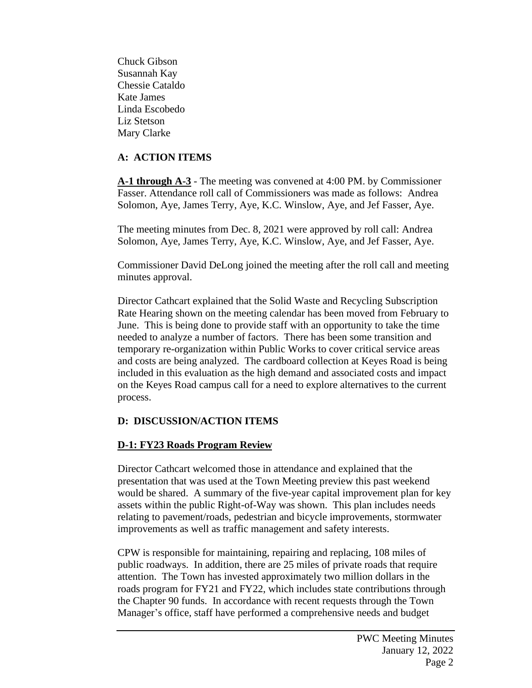Chuck Gibson Susannah Kay Chessie Cataldo Kate James Linda Escobedo Liz Stetson Mary Clarke

## **A: ACTION ITEMS**

**A-1 through A-3** - The meeting was convened at 4:00 PM. by Commissioner Fasser. Attendance roll call of Commissioners was made as follows: Andrea Solomon, Aye, James Terry, Aye, K.C. Winslow, Aye, and Jef Fasser, Aye.

The meeting minutes from Dec. 8, 2021 were approved by roll call: Andrea Solomon, Aye, James Terry, Aye, K.C. Winslow, Aye, and Jef Fasser, Aye.

Commissioner David DeLong joined the meeting after the roll call and meeting minutes approval.

Director Cathcart explained that the Solid Waste and Recycling Subscription Rate Hearing shown on the meeting calendar has been moved from February to June. This is being done to provide staff with an opportunity to take the time needed to analyze a number of factors. There has been some transition and temporary re-organization within Public Works to cover critical service areas and costs are being analyzed. The cardboard collection at Keyes Road is being included in this evaluation as the high demand and associated costs and impact on the Keyes Road campus call for a need to explore alternatives to the current process.

# **D: DISCUSSION/ACTION ITEMS**

## **D-1: FY23 Roads Program Review**

Director Cathcart welcomed those in attendance and explained that the presentation that was used at the Town Meeting preview this past weekend would be shared. A summary of the five-year capital improvement plan for key assets within the public Right-of-Way was shown. This plan includes needs relating to pavement/roads, pedestrian and bicycle improvements, stormwater improvements as well as traffic management and safety interests.

CPW is responsible for maintaining, repairing and replacing, 108 miles of public roadways. In addition, there are 25 miles of private roads that require attention. The Town has invested approximately two million dollars in the roads program for FY21 and FY22, which includes state contributions through the Chapter 90 funds. In accordance with recent requests through the Town Manager's office, staff have performed a comprehensive needs and budget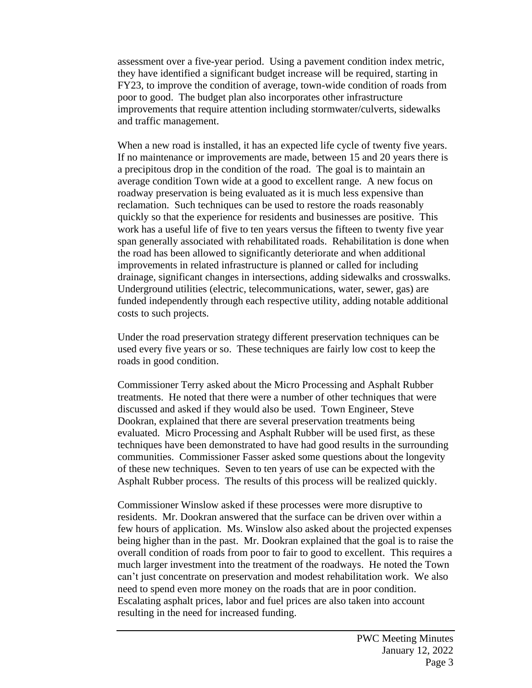assessment over a five-year period. Using a pavement condition index metric, they have identified a significant budget increase will be required, starting in FY23, to improve the condition of average, town-wide condition of roads from poor to good. The budget plan also incorporates other infrastructure improvements that require attention including stormwater/culverts, sidewalks and traffic management.

When a new road is installed, it has an expected life cycle of twenty five years. If no maintenance or improvements are made, between 15 and 20 years there is a precipitous drop in the condition of the road. The goal is to maintain an average condition Town wide at a good to excellent range. A new focus on roadway preservation is being evaluated as it is much less expensive than reclamation. Such techniques can be used to restore the roads reasonably quickly so that the experience for residents and businesses are positive. This work has a useful life of five to ten years versus the fifteen to twenty five year span generally associated with rehabilitated roads. Rehabilitation is done when the road has been allowed to significantly deteriorate and when additional improvements in related infrastructure is planned or called for including drainage, significant changes in intersections, adding sidewalks and crosswalks. Underground utilities (electric, telecommunications, water, sewer, gas) are funded independently through each respective utility, adding notable additional costs to such projects.

Under the road preservation strategy different preservation techniques can be used every five years or so. These techniques are fairly low cost to keep the roads in good condition.

Commissioner Terry asked about the Micro Processing and Asphalt Rubber treatments. He noted that there were a number of other techniques that were discussed and asked if they would also be used. Town Engineer, Steve Dookran, explained that there are several preservation treatments being evaluated. Micro Processing and Asphalt Rubber will be used first, as these techniques have been demonstrated to have had good results in the surrounding communities. Commissioner Fasser asked some questions about the longevity of these new techniques. Seven to ten years of use can be expected with the Asphalt Rubber process. The results of this process will be realized quickly.

Commissioner Winslow asked if these processes were more disruptive to residents. Mr. Dookran answered that the surface can be driven over within a few hours of application. Ms. Winslow also asked about the projected expenses being higher than in the past. Mr. Dookran explained that the goal is to raise the overall condition of roads from poor to fair to good to excellent. This requires a much larger investment into the treatment of the roadways. He noted the Town can't just concentrate on preservation and modest rehabilitation work. We also need to spend even more money on the roads that are in poor condition. Escalating asphalt prices, labor and fuel prices are also taken into account resulting in the need for increased funding.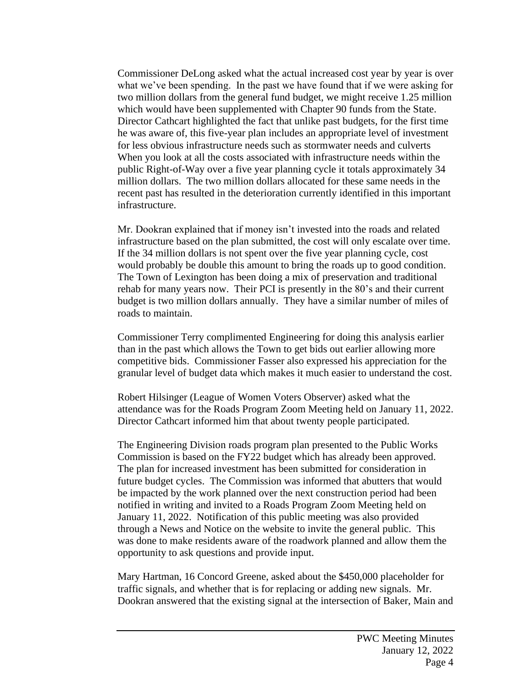Commissioner DeLong asked what the actual increased cost year by year is over what we've been spending. In the past we have found that if we were asking for two million dollars from the general fund budget, we might receive 1.25 million which would have been supplemented with Chapter 90 funds from the State. Director Cathcart highlighted the fact that unlike past budgets, for the first time he was aware of, this five-year plan includes an appropriate level of investment for less obvious infrastructure needs such as stormwater needs and culverts When you look at all the costs associated with infrastructure needs within the public Right-of-Way over a five year planning cycle it totals approximately 34 million dollars. The two million dollars allocated for these same needs in the recent past has resulted in the deterioration currently identified in this important infrastructure.

Mr. Dookran explained that if money isn't invested into the roads and related infrastructure based on the plan submitted, the cost will only escalate over time. If the 34 million dollars is not spent over the five year planning cycle, cost would probably be double this amount to bring the roads up to good condition. The Town of Lexington has been doing a mix of preservation and traditional rehab for many years now. Their PCI is presently in the 80's and their current budget is two million dollars annually. They have a similar number of miles of roads to maintain.

Commissioner Terry complimented Engineering for doing this analysis earlier than in the past which allows the Town to get bids out earlier allowing more competitive bids. Commissioner Fasser also expressed his appreciation for the granular level of budget data which makes it much easier to understand the cost.

Robert Hilsinger (League of Women Voters Observer) asked what the attendance was for the Roads Program Zoom Meeting held on January 11, 2022. Director Cathcart informed him that about twenty people participated.

The Engineering Division roads program plan presented to the Public Works Commission is based on the FY22 budget which has already been approved. The plan for increased investment has been submitted for consideration in future budget cycles. The Commission was informed that abutters that would be impacted by the work planned over the next construction period had been notified in writing and invited to a Roads Program Zoom Meeting held on January 11, 2022. Notification of this public meeting was also provided through a News and Notice on the website to invite the general public. This was done to make residents aware of the roadwork planned and allow them the opportunity to ask questions and provide input.

Mary Hartman, 16 Concord Greene, asked about the \$450,000 placeholder for traffic signals, and whether that is for replacing or adding new signals. Mr. Dookran answered that the existing signal at the intersection of Baker, Main and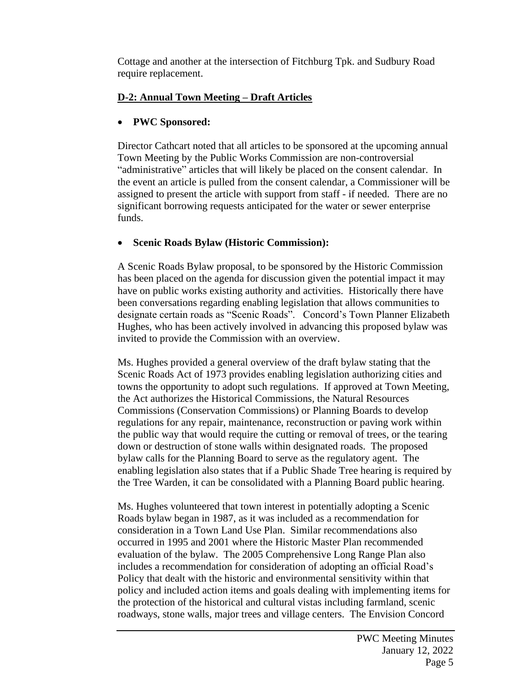Cottage and another at the intersection of Fitchburg Tpk. and Sudbury Road require replacement.

## **D-2: Annual Town Meeting – Draft Articles**

## • **PWC Sponsored:**

Director Cathcart noted that all articles to be sponsored at the upcoming annual Town Meeting by the Public Works Commission are non-controversial "administrative" articles that will likely be placed on the consent calendar. In the event an article is pulled from the consent calendar, a Commissioner will be assigned to present the article with support from staff - if needed. There are no significant borrowing requests anticipated for the water or sewer enterprise funds.

# • **Scenic Roads Bylaw (Historic Commission):**

A Scenic Roads Bylaw proposal, to be sponsored by the Historic Commission has been placed on the agenda for discussion given the potential impact it may have on public works existing authority and activities. Historically there have been conversations regarding enabling legislation that allows communities to designate certain roads as "Scenic Roads". Concord's Town Planner Elizabeth Hughes, who has been actively involved in advancing this proposed bylaw was invited to provide the Commission with an overview.

Ms. Hughes provided a general overview of the draft bylaw stating that the Scenic Roads Act of 1973 provides enabling legislation authorizing cities and towns the opportunity to adopt such regulations. If approved at Town Meeting, the Act authorizes the Historical Commissions, the Natural Resources Commissions (Conservation Commissions) or Planning Boards to develop regulations for any repair, maintenance, reconstruction or paving work within the public way that would require the cutting or removal of trees, or the tearing down or destruction of stone walls within designated roads. The proposed bylaw calls for the Planning Board to serve as the regulatory agent. The enabling legislation also states that if a Public Shade Tree hearing is required by the Tree Warden, it can be consolidated with a Planning Board public hearing.

Ms. Hughes volunteered that town interest in potentially adopting a Scenic Roads bylaw began in 1987, as it was included as a recommendation for consideration in a Town Land Use Plan. Similar recommendations also occurred in 1995 and 2001 where the Historic Master Plan recommended evaluation of the bylaw. The 2005 Comprehensive Long Range Plan also includes a recommendation for consideration of adopting an official Road's Policy that dealt with the historic and environmental sensitivity within that policy and included action items and goals dealing with implementing items for the protection of the historical and cultural vistas including farmland, scenic roadways, stone walls, major trees and village centers. The Envision Concord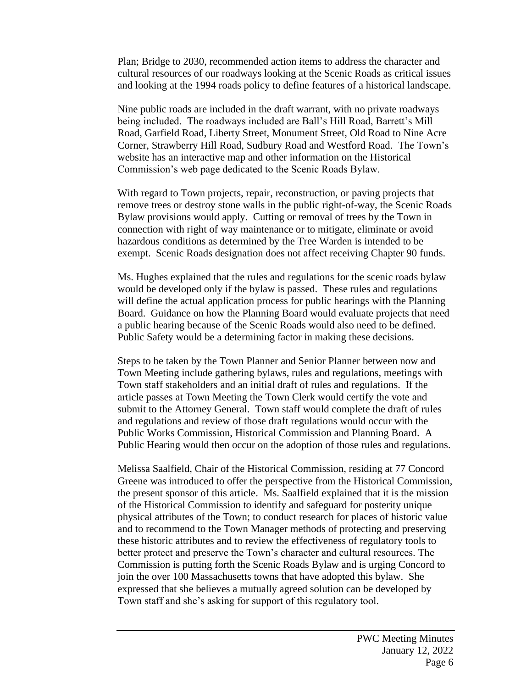Plan; Bridge to 2030, recommended action items to address the character and cultural resources of our roadways looking at the Scenic Roads as critical issues and looking at the 1994 roads policy to define features of a historical landscape.

Nine public roads are included in the draft warrant, with no private roadways being included. The roadways included are Ball's Hill Road, Barrett's Mill Road, Garfield Road, Liberty Street, Monument Street, Old Road to Nine Acre Corner, Strawberry Hill Road, Sudbury Road and Westford Road. The Town's website has an interactive map and other information on the Historical Commission's web page dedicated to the Scenic Roads Bylaw.

With regard to Town projects, repair, reconstruction, or paving projects that remove trees or destroy stone walls in the public right-of-way, the Scenic Roads Bylaw provisions would apply. Cutting or removal of trees by the Town in connection with right of way maintenance or to mitigate, eliminate or avoid hazardous conditions as determined by the Tree Warden is intended to be exempt. Scenic Roads designation does not affect receiving Chapter 90 funds.

Ms. Hughes explained that the rules and regulations for the scenic roads bylaw would be developed only if the bylaw is passed. These rules and regulations will define the actual application process for public hearings with the Planning Board. Guidance on how the Planning Board would evaluate projects that need a public hearing because of the Scenic Roads would also need to be defined. Public Safety would be a determining factor in making these decisions.

Steps to be taken by the Town Planner and Senior Planner between now and Town Meeting include gathering bylaws, rules and regulations, meetings with Town staff stakeholders and an initial draft of rules and regulations. If the article passes at Town Meeting the Town Clerk would certify the vote and submit to the Attorney General. Town staff would complete the draft of rules and regulations and review of those draft regulations would occur with the Public Works Commission, Historical Commission and Planning Board. A Public Hearing would then occur on the adoption of those rules and regulations.

Melissa Saalfield, Chair of the Historical Commission, residing at 77 Concord Greene was introduced to offer the perspective from the Historical Commission, the present sponsor of this article. Ms. Saalfield explained that it is the mission of the Historical Commission to identify and safeguard for posterity unique physical attributes of the Town; to conduct research for places of historic value and to recommend to the Town Manager methods of protecting and preserving these historic attributes and to review the effectiveness of regulatory tools to better protect and preserve the Town's character and cultural resources. The Commission is putting forth the Scenic Roads Bylaw and is urging Concord to join the over 100 Massachusetts towns that have adopted this bylaw. She expressed that she believes a mutually agreed solution can be developed by Town staff and she's asking for support of this regulatory tool.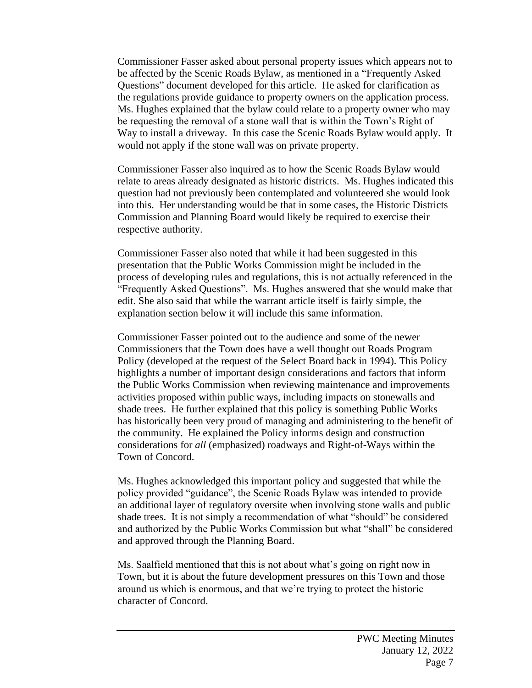Commissioner Fasser asked about personal property issues which appears not to be affected by the Scenic Roads Bylaw, as mentioned in a "Frequently Asked Questions" document developed for this article. He asked for clarification as the regulations provide guidance to property owners on the application process. Ms. Hughes explained that the bylaw could relate to a property owner who may be requesting the removal of a stone wall that is within the Town's Right of Way to install a driveway. In this case the Scenic Roads Bylaw would apply. It would not apply if the stone wall was on private property.

Commissioner Fasser also inquired as to how the Scenic Roads Bylaw would relate to areas already designated as historic districts. Ms. Hughes indicated this question had not previously been contemplated and volunteered she would look into this. Her understanding would be that in some cases, the Historic Districts Commission and Planning Board would likely be required to exercise their respective authority.

Commissioner Fasser also noted that while it had been suggested in this presentation that the Public Works Commission might be included in the process of developing rules and regulations, this is not actually referenced in the "Frequently Asked Questions". Ms. Hughes answered that she would make that edit. She also said that while the warrant article itself is fairly simple, the explanation section below it will include this same information.

Commissioner Fasser pointed out to the audience and some of the newer Commissioners that the Town does have a well thought out Roads Program Policy (developed at the request of the Select Board back in 1994). This Policy highlights a number of important design considerations and factors that inform the Public Works Commission when reviewing maintenance and improvements activities proposed within public ways, including impacts on stonewalls and shade trees. He further explained that this policy is something Public Works has historically been very proud of managing and administering to the benefit of the community. He explained the Policy informs design and construction considerations for *all* (emphasized) roadways and Right-of-Ways within the Town of Concord.

Ms. Hughes acknowledged this important policy and suggested that while the policy provided "guidance", the Scenic Roads Bylaw was intended to provide an additional layer of regulatory oversite when involving stone walls and public shade trees. It is not simply a recommendation of what "should" be considered and authorized by the Public Works Commission but what "shall" be considered and approved through the Planning Board.

Ms. Saalfield mentioned that this is not about what's going on right now in Town, but it is about the future development pressures on this Town and those around us which is enormous, and that we're trying to protect the historic character of Concord.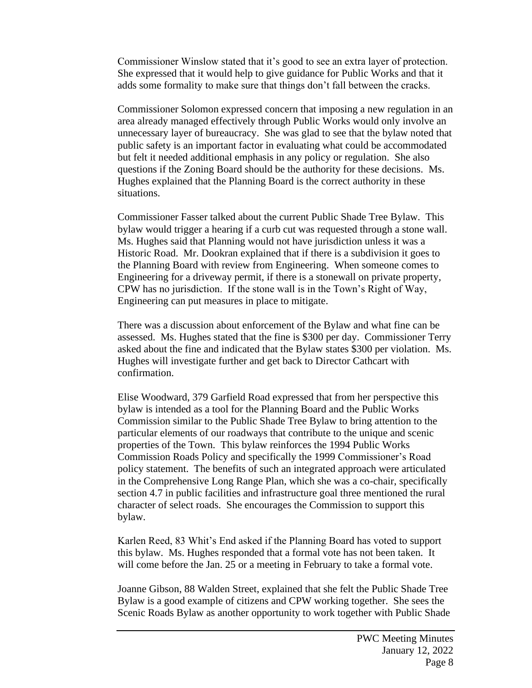Commissioner Winslow stated that it's good to see an extra layer of protection. She expressed that it would help to give guidance for Public Works and that it adds some formality to make sure that things don't fall between the cracks.

Commissioner Solomon expressed concern that imposing a new regulation in an area already managed effectively through Public Works would only involve an unnecessary layer of bureaucracy. She was glad to see that the bylaw noted that public safety is an important factor in evaluating what could be accommodated but felt it needed additional emphasis in any policy or regulation. She also questions if the Zoning Board should be the authority for these decisions. Ms. Hughes explained that the Planning Board is the correct authority in these situations.

Commissioner Fasser talked about the current Public Shade Tree Bylaw. This bylaw would trigger a hearing if a curb cut was requested through a stone wall. Ms. Hughes said that Planning would not have jurisdiction unless it was a Historic Road. Mr. Dookran explained that if there is a subdivision it goes to the Planning Board with review from Engineering. When someone comes to Engineering for a driveway permit, if there is a stonewall on private property, CPW has no jurisdiction. If the stone wall is in the Town's Right of Way, Engineering can put measures in place to mitigate.

There was a discussion about enforcement of the Bylaw and what fine can be assessed. Ms. Hughes stated that the fine is \$300 per day. Commissioner Terry asked about the fine and indicated that the Bylaw states \$300 per violation. Ms. Hughes will investigate further and get back to Director Cathcart with confirmation.

Elise Woodward, 379 Garfield Road expressed that from her perspective this bylaw is intended as a tool for the Planning Board and the Public Works Commission similar to the Public Shade Tree Bylaw to bring attention to the particular elements of our roadways that contribute to the unique and scenic properties of the Town. This bylaw reinforces the 1994 Public Works Commission Roads Policy and specifically the 1999 Commissioner's Road policy statement. The benefits of such an integrated approach were articulated in the Comprehensive Long Range Plan, which she was a co-chair, specifically section 4.7 in public facilities and infrastructure goal three mentioned the rural character of select roads. She encourages the Commission to support this bylaw.

Karlen Reed, 83 Whit's End asked if the Planning Board has voted to support this bylaw. Ms. Hughes responded that a formal vote has not been taken. It will come before the Jan. 25 or a meeting in February to take a formal vote.

Joanne Gibson, 88 Walden Street, explained that she felt the Public Shade Tree Bylaw is a good example of citizens and CPW working together. She sees the Scenic Roads Bylaw as another opportunity to work together with Public Shade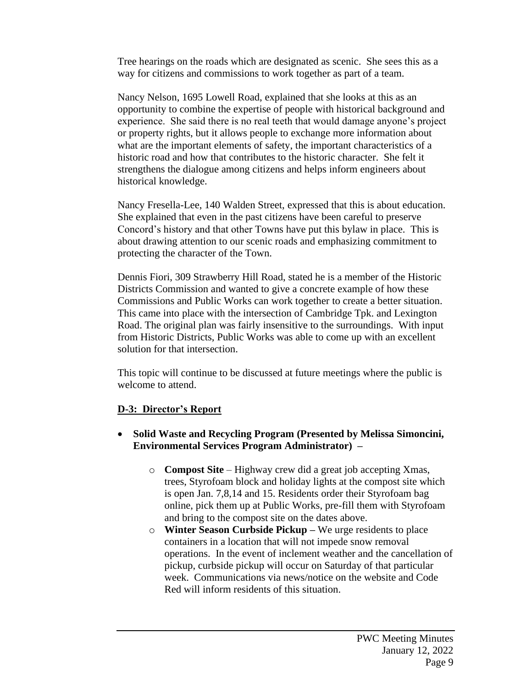Tree hearings on the roads which are designated as scenic. She sees this as a way for citizens and commissions to work together as part of a team.

Nancy Nelson, 1695 Lowell Road, explained that she looks at this as an opportunity to combine the expertise of people with historical background and experience. She said there is no real teeth that would damage anyone's project or property rights, but it allows people to exchange more information about what are the important elements of safety, the important characteristics of a historic road and how that contributes to the historic character. She felt it strengthens the dialogue among citizens and helps inform engineers about historical knowledge.

Nancy Fresella-Lee, 140 Walden Street, expressed that this is about education. She explained that even in the past citizens have been careful to preserve Concord's history and that other Towns have put this bylaw in place. This is about drawing attention to our scenic roads and emphasizing commitment to protecting the character of the Town.

Dennis Fiori, 309 Strawberry Hill Road, stated he is a member of the Historic Districts Commission and wanted to give a concrete example of how these Commissions and Public Works can work together to create a better situation. This came into place with the intersection of Cambridge Tpk. and Lexington Road. The original plan was fairly insensitive to the surroundings. With input from Historic Districts, Public Works was able to come up with an excellent solution for that intersection.

This topic will continue to be discussed at future meetings where the public is welcome to attend.

## **D-3: Director's Report**

- **Solid Waste and Recycling Program (Presented by Melissa Simoncini, Environmental Services Program Administrator) –**
	- o **Compost Site**  Highway crew did a great job accepting Xmas, trees, Styrofoam block and holiday lights at the compost site which is open Jan. 7,8,14 and 15. Residents order their Styrofoam bag online, pick them up at Public Works, pre-fill them with Styrofoam and bring to the compost site on the dates above.
	- o **Winter Season Curbside Pickup –** We urge residents to place containers in a location that will not impede snow removal operations. In the event of inclement weather and the cancellation of pickup, curbside pickup will occur on Saturday of that particular week. Communications via news/notice on the website and Code Red will inform residents of this situation.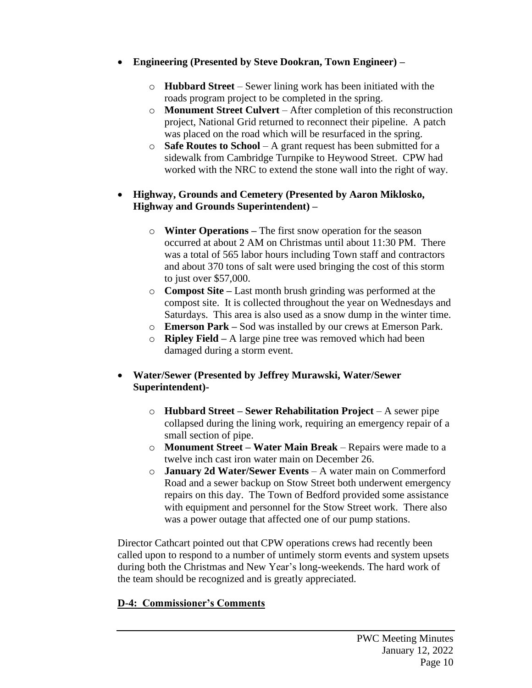- **Engineering (Presented by Steve Dookran, Town Engineer) –**
	- o **Hubbard Street** Sewer lining work has been initiated with the roads program project to be completed in the spring.
	- o **Monument Street Culvert** After completion of this reconstruction project, National Grid returned to reconnect their pipeline. A patch was placed on the road which will be resurfaced in the spring.
	- o **Safe Routes to School** A grant request has been submitted for a sidewalk from Cambridge Turnpike to Heywood Street. CPW had worked with the NRC to extend the stone wall into the right of way.

### • **Highway, Grounds and Cemetery (Presented by Aaron Miklosko, Highway and Grounds Superintendent) –**

- o **Winter Operations –** The first snow operation for the season occurred at about 2 AM on Christmas until about 11:30 PM. There was a total of 565 labor hours including Town staff and contractors and about 370 tons of salt were used bringing the cost of this storm to just over \$57,000.
- o **Compost Site –** Last month brush grinding was performed at the compost site. It is collected throughout the year on Wednesdays and Saturdays. This area is also used as a snow dump in the winter time.
- o **Emerson Park –** Sod was installed by our crews at Emerson Park.
- o **Ripley Field –** A large pine tree was removed which had been damaged during a storm event.

## • **Water/Sewer (Presented by Jeffrey Murawski, Water/Sewer Superintendent)-**

- o **Hubbard Street – Sewer Rehabilitation Project** A sewer pipe collapsed during the lining work, requiring an emergency repair of a small section of pipe.
- o **Monument Street – Water Main Break** Repairs were made to a twelve inch cast iron water main on December 26.
- o **January 2d Water/Sewer Events** A water main on Commerford Road and a sewer backup on Stow Street both underwent emergency repairs on this day. The Town of Bedford provided some assistance with equipment and personnel for the Stow Street work. There also was a power outage that affected one of our pump stations.

Director Cathcart pointed out that CPW operations crews had recently been called upon to respond to a number of untimely storm events and system upsets during both the Christmas and New Year's long-weekends. The hard work of the team should be recognized and is greatly appreciated.

## **D-4: Commissioner's Comments**